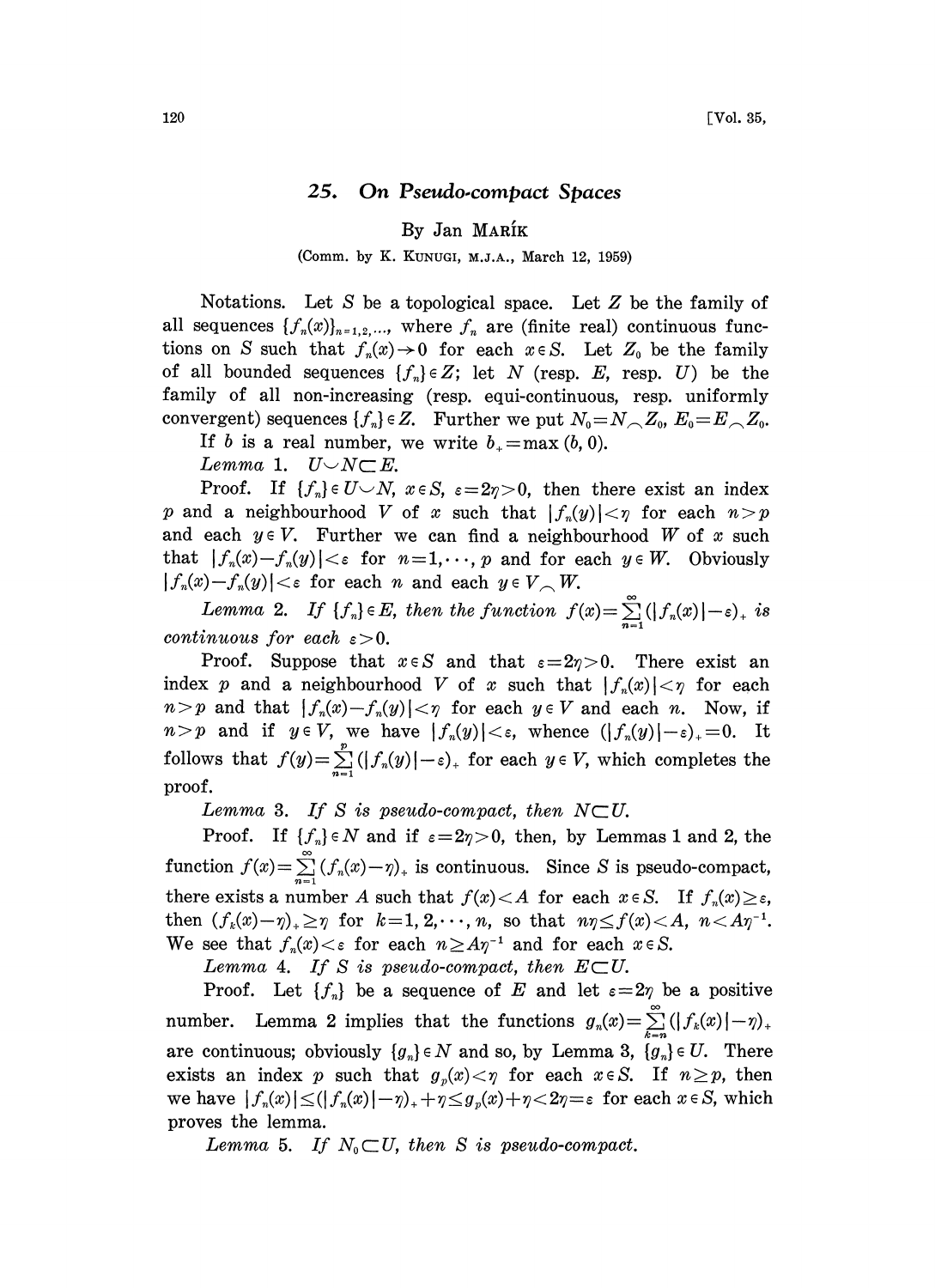## 25. On Pseudo.compact Spaces

By Jan MARIK

(Comm. by K. KUNUGI, M.J.A., March 12, 1959)

Notations. Let S be a topological space. Let  $Z$  be the family of all sequences  $\{f_n(x)\}_{n=1,2,...}$ , where  $f_n$  are (finite real) continuous functions on S such that  $f_n(x) \to 0$  for each  $x \in S$ . Let  $Z_0$  be the family of all bounded sequences  $\{f_n\} \in Z$ ; let N (resp. E, resp. U) be the family of all non-increasing (resp. equi-continuous, resp. uniformly convergent) sequences  $\{f_n\} \in Z$ . Further we put  $N_0 = N \setminus Z_0$ ,  $E_0 = E \setminus Z_0$ .

If b is a real number, we write  $b_+ = \max(b, 0)$ .<br>Lemma 1.  $U \cup N \subset E$ .

Lemma 1.  $U\smile N\sub{E}$ .<br>Proof. If  $\{f_n\}\in U\smile N$ ,  $x\in S$ ,  $\varepsilon=2\eta>0$ , then there exist an index p and a neighbourhood V of x such that  $|f_n(y)| < \eta$  for each  $n > p$ and each  $y \in V$ . Further we can find a neighbourhood W of x such that  $|f_n(x)-f_n(y)| < \varepsilon$  for  $n=1,\dots, p$  and for each  $y \in W$ . Obviously  $|f_n(x)-f_n(y)| < \varepsilon$  for each n and each  $y \in V \setminus W$ .

Lemma 2. If  $\{f_n\} \in E$ , then the function  $f(x) = \sum_{n=1}^{\infty}(|f_n(x)|-\varepsilon)_+$  is continuous for each  $\varepsilon > 0$ .

Proof. Suppose that  $x \in S$  and that  $\varepsilon=2\eta>0$ . There exist an index p and a neighbourhood V of x such that  $|f_n(x)| < \eta$  for each  $n > p$  and that  $|f_n(x)-f_n(y)| < p$  for each  $y \in V$  and each n. Now, if  $n>p$  and if  $y \in V$ , we have  $|f_n(y)| < \varepsilon$ , whence  $(|f_n(y)|-\varepsilon)_+ = 0$ . It follows that  $f(y) = \sum_{n=1}^{p} (|f_n(y)| - \varepsilon)_+$  for each  $y \in V$ , which completes the proof.

Lemma 3. If S is pseudo-compact, then  $N\subset U$ .

Proof. If  $\{f_n\} \in N$  and if  $\varepsilon = 2\eta > 0$ , then, by Lemmas 1 and 2, the function  $f(x) = \sum_{n=1}^{\infty} (f_n(x)-\eta)_+$  is continuous. Since S is pseudo-compact, there exists a number A such that  $f(x) < A$  for each  $x \in S$ . If  $f_n(x) \ge \varepsilon$ , then  $(f_k(x)-\eta)_+\geq \eta$  for  $k=1, 2, \dots, n$ , so that  $n\eta \leq f(x) < A$ ,  $n < A\eta^{-1}$ . We see that  $f_n(x) < \varepsilon$  for each  $n \geq A\eta^{-1}$  and for each  $x \in S$ .<br>*Lemma* 4. If S is pseudo-compact, then  $E \subset U$ .

Lemma 4. If S is pseudo-compact, then  $E\subset U$ .

Proof. Let  $\{f_n\}$  be a sequence of E and let  $\varepsilon=2\eta$  be a positive number. Lemma 2 implies that the functions  $g_n(x) = \sum_{k=n}^{\infty} (|f_k(x)| - \eta)_+$ are continuous; obviously  $\{g_n\} \in N$  and so, by Lemma 3,  $\{g_n\} \in U$ . There exists an index p such that  $g_p(x) < \eta$  for each  $x \in S$ . If  $n \geq p$ , then we have  $|f_n(x)| \leq (|f_n(x)|-\eta)_++\eta \leq g_n(x)+\eta < 2\eta = \varepsilon$  for each  $x \in S$ , which proves the lemma.

Lemma 5. If  $N_0 \subset U$ , then S is pseudo-compact.